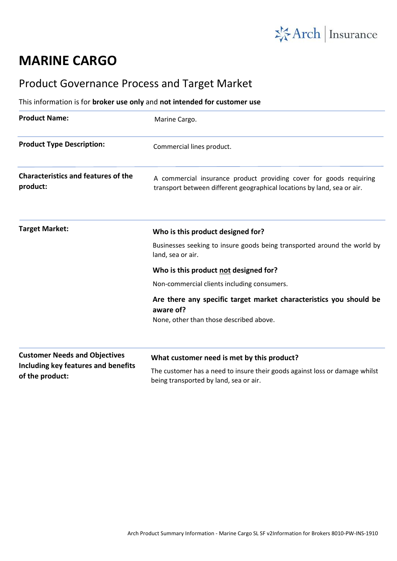

## **MARINE CARGO**

## Product Governance Process and Target Market

## This information is for **broker use only** and **not intended for customer use**

| <b>Product Name:</b>                                                                           | Marine Cargo.                                                                                                                                 |
|------------------------------------------------------------------------------------------------|-----------------------------------------------------------------------------------------------------------------------------------------------|
| <b>Product Type Description:</b>                                                               | Commercial lines product.                                                                                                                     |
| <b>Characteristics and features of the</b><br>product:                                         | A commercial insurance product providing cover for goods requiring<br>transport between different geographical locations by land, sea or air. |
| <b>Target Market:</b>                                                                          | Who is this product designed for?                                                                                                             |
|                                                                                                | Businesses seeking to insure goods being transported around the world by<br>land, sea or air.                                                 |
|                                                                                                | Who is this product not designed for?                                                                                                         |
|                                                                                                | Non-commercial clients including consumers.                                                                                                   |
|                                                                                                | Are there any specific target market characteristics you should be<br>aware of?<br>None, other than those described above.                    |
|                                                                                                |                                                                                                                                               |
| <b>Customer Needs and Objectives</b><br>Including key features and benefits<br>of the product: | What customer need is met by this product?                                                                                                    |
|                                                                                                | The customer has a need to insure their goods against loss or damage whilst<br>being transported by land, sea or air.                         |